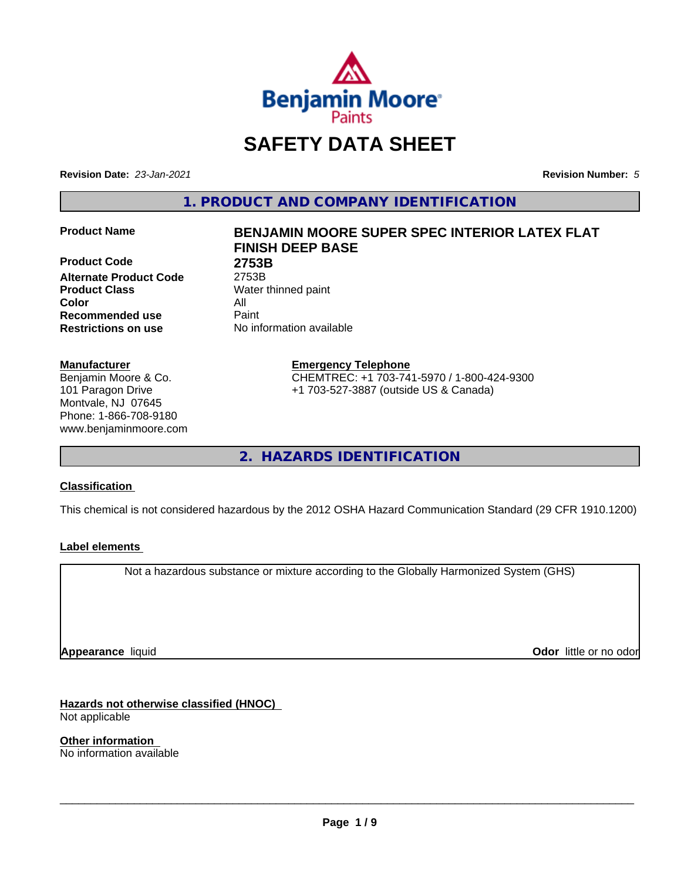

# **SAFETY DATA SHEET**

**Revision Date:** *23-Jan-2021* **Revision Number:** *5*

**1. PRODUCT AND COMPANY IDENTIFICATION**

**Product Code 2753B Alternate Product Code** 2753B **Product Class** Water thinned paint **Color** All **Recommended use** Paint **Restrictions on use** No information available

#### **Manufacturer**

Benjamin Moore & Co. 101 Paragon Drive Montvale, NJ 07645 Phone: 1-866-708-9180 www.benjaminmoore.com

# **Product Name BENJAMIN MOORE SUPER SPEC INTERIOR LATEX FLAT FINISH DEEP BASE**

**Emergency Telephone** CHEMTREC: +1 703-741-5970 / 1-800-424-9300 +1 703-527-3887 (outside US & Canada)

**2. HAZARDS IDENTIFICATION**

### **Classification**

This chemical is not considered hazardous by the 2012 OSHA Hazard Communication Standard (29 CFR 1910.1200)

### **Label elements**

Not a hazardous substance or mixture according to the Globally Harmonized System (GHS)

**Appearance** liquid

**Odor** little or no odor

**Hazards not otherwise classified (HNOC)** Not applicable

**Other information** No information available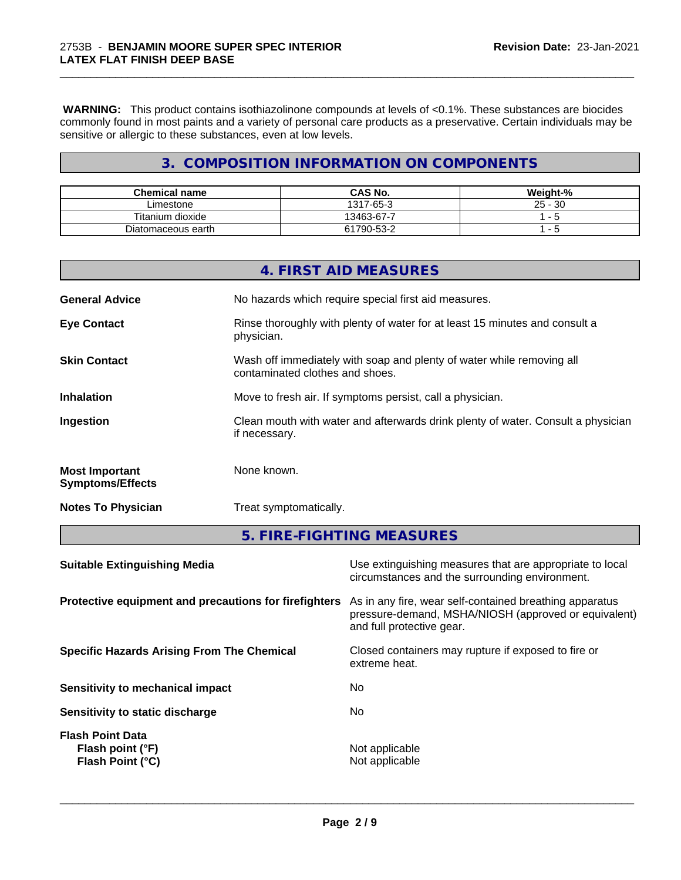**WARNING:** This product contains isothiazolinone compounds at levels of <0.1%. These substances are biocides commonly found in most paints and a variety of personal care products as a preservative. Certain individuals may be sensitive or allergic to these substances, even at low levels.

\_\_\_\_\_\_\_\_\_\_\_\_\_\_\_\_\_\_\_\_\_\_\_\_\_\_\_\_\_\_\_\_\_\_\_\_\_\_\_\_\_\_\_\_\_\_\_\_\_\_\_\_\_\_\_\_\_\_\_\_\_\_\_\_\_\_\_\_\_\_\_\_\_\_\_\_\_\_\_\_\_\_\_\_\_\_\_\_\_\_\_\_\_

# **3. COMPOSITION INFORMATION ON COMPONENTS**

| <b>Chemical name</b> | <b>CAS No.</b> | Weight-%     |
|----------------------|----------------|--------------|
| Limestone            | 1317-65-3      | 30<br>$25 -$ |
| Titanium dioxide     | 13463-67-7     |              |
| Diatomaceous earth   | 61790-53-2     |              |

|                                                  | 4. FIRST AID MEASURES                                                                                    |
|--------------------------------------------------|----------------------------------------------------------------------------------------------------------|
| <b>General Advice</b>                            | No hazards which require special first aid measures.                                                     |
| <b>Eye Contact</b>                               | Rinse thoroughly with plenty of water for at least 15 minutes and consult a<br>physician.                |
| <b>Skin Contact</b>                              | Wash off immediately with soap and plenty of water while removing all<br>contaminated clothes and shoes. |
| <b>Inhalation</b>                                | Move to fresh air. If symptoms persist, call a physician.                                                |
| Ingestion                                        | Clean mouth with water and afterwards drink plenty of water. Consult a physician<br>if necessary.        |
| <b>Most Important</b><br><b>Symptoms/Effects</b> | None known.                                                                                              |
| <b>Notes To Physician</b>                        | Treat symptomatically.                                                                                   |

**5. FIRE-FIGHTING MEASURES**

| <b>Suitable Extinguishing Media</b>                                    | Use extinguishing measures that are appropriate to local<br>circumstances and the surrounding environment.                                   |
|------------------------------------------------------------------------|----------------------------------------------------------------------------------------------------------------------------------------------|
| Protective equipment and precautions for firefighters                  | As in any fire, wear self-contained breathing apparatus<br>pressure-demand, MSHA/NIOSH (approved or equivalent)<br>and full protective gear. |
| <b>Specific Hazards Arising From The Chemical</b>                      | Closed containers may rupture if exposed to fire or<br>extreme heat.                                                                         |
| Sensitivity to mechanical impact                                       | No                                                                                                                                           |
| Sensitivity to static discharge                                        | No                                                                                                                                           |
| <b>Flash Point Data</b><br>Flash point (°F)<br><b>Flash Point (°C)</b> | Not applicable<br>Not applicable                                                                                                             |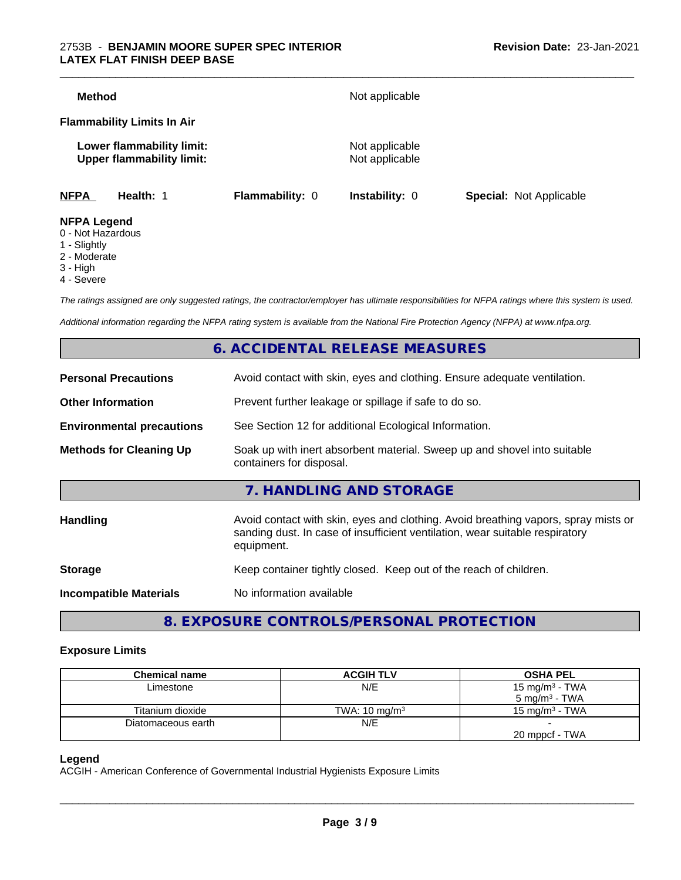#### 2753B - **BENJAMIN MOORE SUPER SPEC INTERIOR LATEX FLAT FINISH DEEP BASE**

| <b>Method</b>                           |                                                               |                        | Not applicable                   |                                |
|-----------------------------------------|---------------------------------------------------------------|------------------------|----------------------------------|--------------------------------|
|                                         | <b>Flammability Limits In Air</b>                             |                        |                                  |                                |
|                                         | Lower flammability limit:<br><b>Upper flammability limit:</b> |                        | Not applicable<br>Not applicable |                                |
| <b>NFPA</b>                             | Health: 1                                                     | <b>Flammability: 0</b> | <b>Instability: 0</b>            | <b>Special: Not Applicable</b> |
| <b>NFPA Legend</b><br>0 - Not Hazardous |                                                               |                        |                                  |                                |

- 
- 1 Slightly
- 2 Moderate
- 3 High
- 4 Severe

*The ratings assigned are only suggested ratings, the contractor/employer has ultimate responsibilities for NFPA ratings where this system is used.*

*Additional information regarding the NFPA rating system is available from the National Fire Protection Agency (NFPA) at www.nfpa.org.*

# **6. ACCIDENTAL RELEASE MEASURES**

| <b>Personal Precautions</b>      | Avoid contact with skin, eyes and clothing. Ensure adequate ventilation.                                                                                                         |
|----------------------------------|----------------------------------------------------------------------------------------------------------------------------------------------------------------------------------|
| <b>Other Information</b>         | Prevent further leakage or spillage if safe to do so.                                                                                                                            |
| <b>Environmental precautions</b> | See Section 12 for additional Ecological Information.                                                                                                                            |
| <b>Methods for Cleaning Up</b>   | Soak up with inert absorbent material. Sweep up and shovel into suitable<br>containers for disposal.                                                                             |
|                                  | 7. HANDLING AND STORAGE                                                                                                                                                          |
| <b>Handling</b>                  | Avoid contact with skin, eyes and clothing. Avoid breathing vapors, spray mists or<br>sanding dust. In case of insufficient ventilation, wear suitable respiratory<br>equipment. |
| <b>Storage</b>                   | Keep container tightly closed. Keep out of the reach of children.                                                                                                                |
| <b>Incompatible Materials</b>    | No information available                                                                                                                                                         |
|                                  |                                                                                                                                                                                  |

**8. EXPOSURE CONTROLS/PERSONAL PROTECTION**

#### **Exposure Limits**

| <b>Chemical name</b> | <b>ACGIH TLV</b>         | <b>OSHA PEL</b>           |
|----------------------|--------------------------|---------------------------|
| Limestone            | N/E                      | 15 mg/m $3$ - TWA         |
|                      |                          | $5 \text{ mg/m}^3$ - TWA  |
| Titanium dioxide     | TWA: $10 \text{ mg/m}^3$ | $15 \text{ mg/m}^3$ - TWA |
| Diatomaceous earth   | N/E                      |                           |
|                      |                          | 20 mppcf - TWA            |

#### **Legend**

ACGIH - American Conference of Governmental Industrial Hygienists Exposure Limits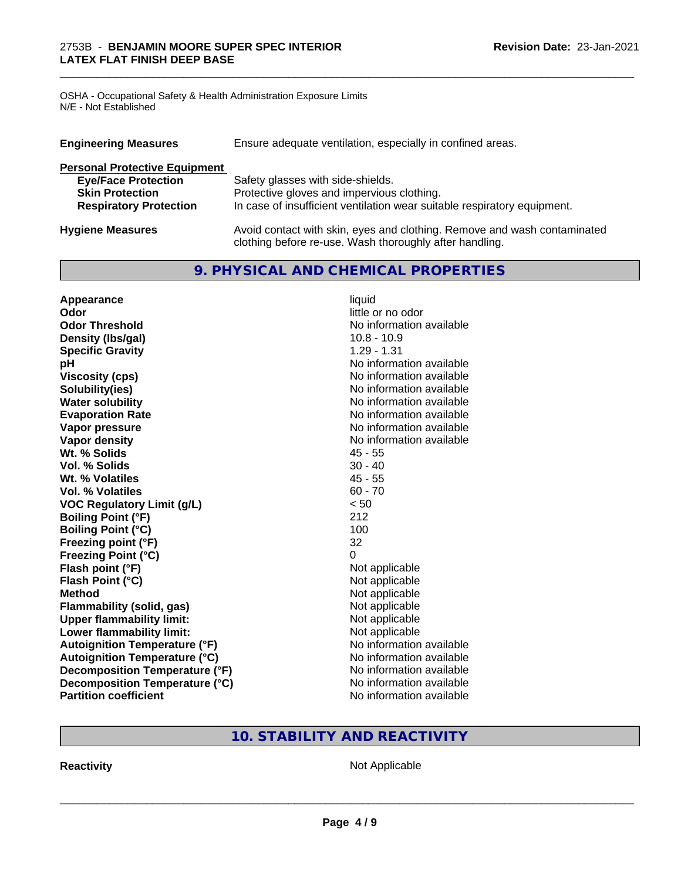OSHA - Occupational Safety & Health Administration Exposure Limits N/E - Not Established

| Ensure adequate ventilation, especially in confined areas.<br><b>Engineering Measures</b> |                                                                                                                                     |  |
|-------------------------------------------------------------------------------------------|-------------------------------------------------------------------------------------------------------------------------------------|--|
| <b>Personal Protective Equipment</b>                                                      |                                                                                                                                     |  |
| <b>Eye/Face Protection</b>                                                                | Safety glasses with side-shields.                                                                                                   |  |
| <b>Skin Protection</b>                                                                    | Protective gloves and impervious clothing.                                                                                          |  |
| <b>Respiratory Protection</b>                                                             | In case of insufficient ventilation wear suitable respiratory equipment.                                                            |  |
| <b>Hygiene Measures</b>                                                                   | Avoid contact with skin, eyes and clothing. Remove and wash contaminated<br>clothing before re-use. Wash thoroughly after handling. |  |

\_\_\_\_\_\_\_\_\_\_\_\_\_\_\_\_\_\_\_\_\_\_\_\_\_\_\_\_\_\_\_\_\_\_\_\_\_\_\_\_\_\_\_\_\_\_\_\_\_\_\_\_\_\_\_\_\_\_\_\_\_\_\_\_\_\_\_\_\_\_\_\_\_\_\_\_\_\_\_\_\_\_\_\_\_\_\_\_\_\_\_\_\_

# **9. PHYSICAL AND CHEMICAL PROPERTIES**

| Appearance                           | liquid                   |
|--------------------------------------|--------------------------|
| Odor                                 | little or no odor        |
| <b>Odor Threshold</b>                | No information available |
| Density (Ibs/gal)                    | $10.8 - 10.9$            |
| <b>Specific Gravity</b>              | $1.29 - 1.31$            |
| pH                                   | No information available |
| <b>Viscosity (cps)</b>               | No information available |
| Solubility(ies)                      | No information available |
| <b>Water solubility</b>              | No information available |
| <b>Evaporation Rate</b>              | No information available |
| Vapor pressure                       | No information available |
| <b>Vapor density</b>                 | No information available |
| Wt. % Solids                         | $45 - 55$                |
| Vol. % Solids                        | $30 - 40$                |
| Wt. % Volatiles                      | $45 - 55$                |
| <b>Vol. % Volatiles</b>              | $60 - 70$                |
| <b>VOC Regulatory Limit (g/L)</b>    | < 50                     |
| <b>Boiling Point (°F)</b>            | 212                      |
| <b>Boiling Point (°C)</b>            | 100                      |
| Freezing point (°F)                  | 32                       |
| <b>Freezing Point (°C)</b>           | $\Omega$                 |
| Flash point (°F)                     | Not applicable           |
| Flash Point (°C)                     | Not applicable           |
| <b>Method</b>                        | Not applicable           |
| Flammability (solid, gas)            | Not applicable           |
| <b>Upper flammability limit:</b>     | Not applicable           |
| Lower flammability limit:            | Not applicable           |
| <b>Autoignition Temperature (°F)</b> | No information available |
| <b>Autoignition Temperature (°C)</b> | No information available |
| Decomposition Temperature (°F)       | No information available |
| Decomposition Temperature (°C)       | No information available |
| <b>Partition coefficient</b>         | No information available |

# **10. STABILITY AND REACTIVITY**

**Reactivity Not Applicable** Not Applicable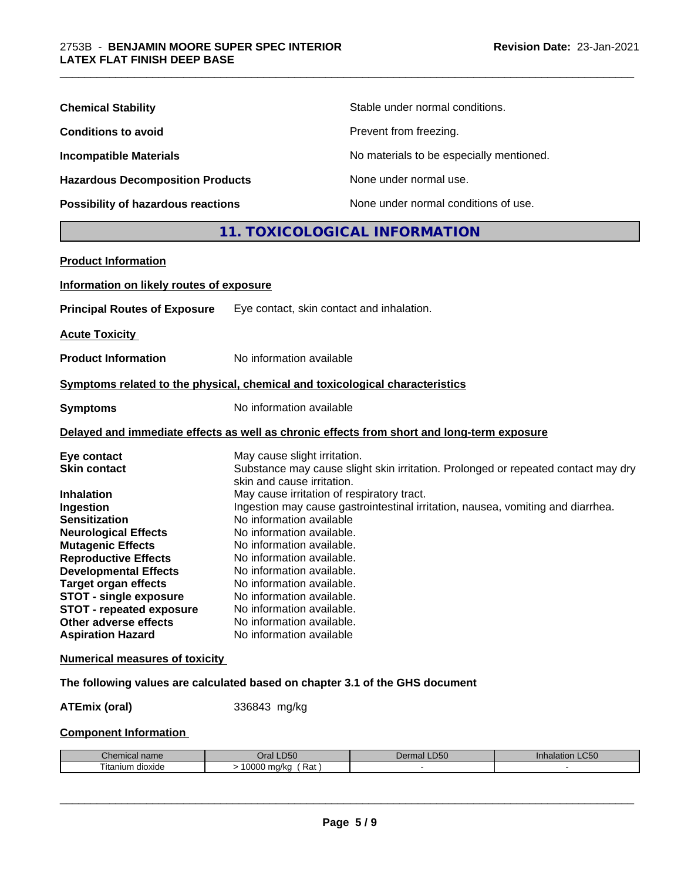| <b>Chemical Stability</b>               | Stable under normal conditions.          |
|-----------------------------------------|------------------------------------------|
| <b>Conditions to avoid</b>              | Prevent from freezing.                   |
| <b>Incompatible Materials</b>           | No materials to be especially mentioned. |
| <b>Hazardous Decomposition Products</b> | None under normal use.                   |
| Possibility of hazardous reactions      | None under normal conditions of use.     |

# **11. TOXICOLOGICAL INFORMATION**

\_\_\_\_\_\_\_\_\_\_\_\_\_\_\_\_\_\_\_\_\_\_\_\_\_\_\_\_\_\_\_\_\_\_\_\_\_\_\_\_\_\_\_\_\_\_\_\_\_\_\_\_\_\_\_\_\_\_\_\_\_\_\_\_\_\_\_\_\_\_\_\_\_\_\_\_\_\_\_\_\_\_\_\_\_\_\_\_\_\_\_\_\_

| <b>Product Information</b>                                   |                                                                                            |
|--------------------------------------------------------------|--------------------------------------------------------------------------------------------|
| Information on likely routes of exposure                     |                                                                                            |
| <b>Principal Routes of Exposure</b>                          | Eye contact, skin contact and inhalation.                                                  |
| <b>Acute Toxicity</b>                                        |                                                                                            |
| <b>Product Information</b>                                   | No information available                                                                   |
|                                                              | Symptoms related to the physical, chemical and toxicological characteristics               |
| <b>Symptoms</b>                                              | No information available                                                                   |
|                                                              | Delayed and immediate effects as well as chronic effects from short and long-term exposure |
| Eye contact                                                  | May cause slight irritation.                                                               |
| <b>Skin contact</b>                                          | Substance may cause slight skin irritation. Prolonged or repeated contact may dry          |
|                                                              | skin and cause irritation.                                                                 |
| <b>Inhalation</b>                                            | May cause irritation of respiratory tract.                                                 |
| Ingestion                                                    | Ingestion may cause gastrointestinal irritation, nausea, vomiting and diarrhea.            |
| <b>Sensitization</b>                                         | No information available                                                                   |
| <b>Neurological Effects</b>                                  | No information available.                                                                  |
| <b>Mutagenic Effects</b>                                     | No information available.                                                                  |
| <b>Reproductive Effects</b><br><b>Developmental Effects</b>  | No information available.<br>No information available.                                     |
|                                                              | No information available.                                                                  |
| <b>Target organ effects</b><br><b>STOT - single exposure</b> | No information available.                                                                  |
| <b>STOT - repeated exposure</b>                              | No information available.                                                                  |
| Other adverse effects                                        | No information available.                                                                  |
| <b>Aspiration Hazard</b>                                     | No information available                                                                   |
| <b>Numerical measures of toxicity</b>                        |                                                                                            |
|                                                              | The following values are calculated based on chapter 3.1 of the GHS document               |
|                                                              | $0.00010$ $\mu$                                                                            |

**ATEmix (oral)** 336843 mg/kg

# **Component Information**

| nhon<br>hemical name<br>. | LD50<br>Dral          | DEC<br>Dermal<br>-רים | LC50<br>innalation |
|---------------------------|-----------------------|-----------------------|--------------------|
| ⊧ dioxide<br>litanium     | 10000<br>Rat<br>ma/ka |                       |                    |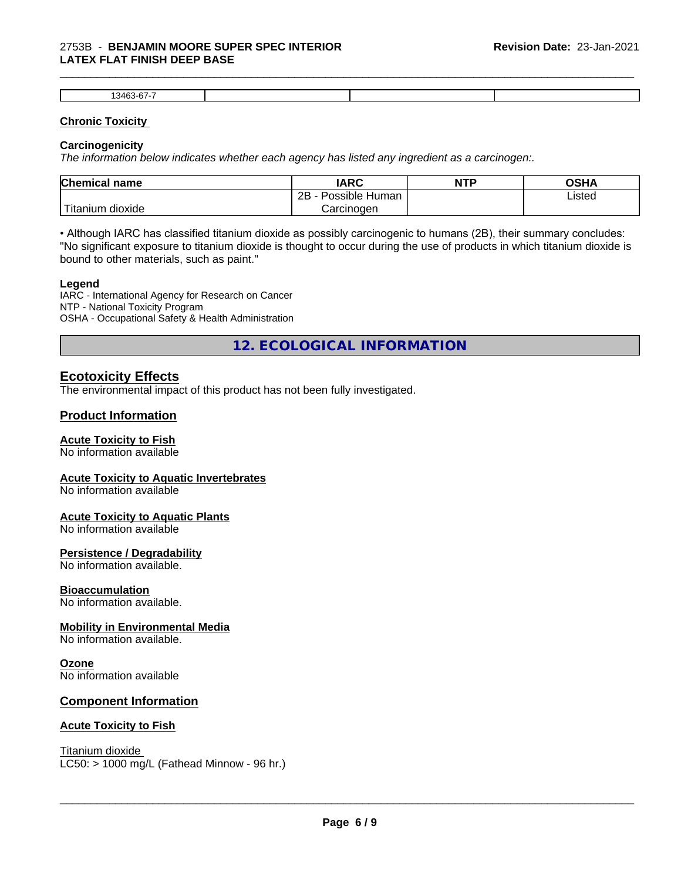#### 2753B - **BENJAMIN MOORE SUPER SPEC INTERIOR LATEX FLAT FINISH DEEP BASE**

| ---<br>г.<br>くろに |  |  |
|------------------|--|--|

\_\_\_\_\_\_\_\_\_\_\_\_\_\_\_\_\_\_\_\_\_\_\_\_\_\_\_\_\_\_\_\_\_\_\_\_\_\_\_\_\_\_\_\_\_\_\_\_\_\_\_\_\_\_\_\_\_\_\_\_\_\_\_\_\_\_\_\_\_\_\_\_\_\_\_\_\_\_\_\_\_\_\_\_\_\_\_\_\_\_\_\_\_

#### **Chronic Toxicity**

#### **Carcinogenicity**

*The information below indicateswhether each agency has listed any ingredient as a carcinogen:.*

| <b>Chemical name</b>             | <b>IARC</b>                      | <b>NTP</b> | OSHA   |
|----------------------------------|----------------------------------|------------|--------|
|                                  | . .<br>2B<br>: Human<br>Possible |            | Listed |
| .<br>, dioxide<br><b>itanium</b> | Carcinoɑen                       |            |        |

• Although IARC has classified titanium dioxide as possibly carcinogenic to humans (2B), their summary concludes: "No significant exposure to titanium dioxide is thought to occur during the use of products in which titanium dioxide is bound to other materials, such as paint."

#### **Legend**

IARC - International Agency for Research on Cancer NTP - National Toxicity Program OSHA - Occupational Safety & Health Administration

**12. ECOLOGICAL INFORMATION**

# **Ecotoxicity Effects**

The environmental impact of this product has not been fully investigated.

# **Product Information**

### **Acute Toxicity to Fish**

No information available

#### **Acute Toxicity to Aquatic Invertebrates**

No information available

#### **Acute Toxicity to Aquatic Plants**

No information available

#### **Persistence / Degradability**

No information available.

#### **Bioaccumulation**

No information available.

#### **Mobility in Environmental Media**

No information available.

### **Ozone**

No information available

### **Component Information**

#### **Acute Toxicity to Fish**

Titanium dioxide  $LC50:$  > 1000 mg/L (Fathead Minnow - 96 hr.)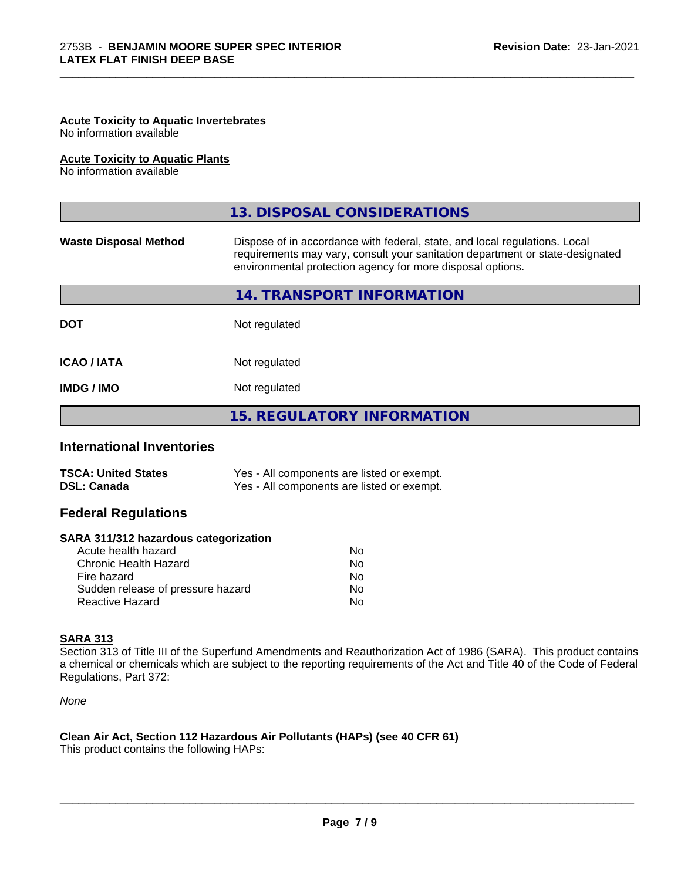# **Acute Toxicity to Aquatic Invertebrates**

No information available

#### **Acute Toxicity to Aquatic Plants**

No information available

|                              | 13. DISPOSAL CONSIDERATIONS                                                                                                                                                                                               |  |
|------------------------------|---------------------------------------------------------------------------------------------------------------------------------------------------------------------------------------------------------------------------|--|
| <b>Waste Disposal Method</b> | Dispose of in accordance with federal, state, and local regulations. Local<br>requirements may vary, consult your sanitation department or state-designated<br>environmental protection agency for more disposal options. |  |
|                              | 14. TRANSPORT INFORMATION                                                                                                                                                                                                 |  |
| <b>DOT</b>                   | Not regulated                                                                                                                                                                                                             |  |
| <b>ICAO/IATA</b>             | Not regulated                                                                                                                                                                                                             |  |
| <b>IMDG/IMO</b>              | Not regulated                                                                                                                                                                                                             |  |
|                              | <b>15. REGULATORY INFORMATION</b>                                                                                                                                                                                         |  |

\_\_\_\_\_\_\_\_\_\_\_\_\_\_\_\_\_\_\_\_\_\_\_\_\_\_\_\_\_\_\_\_\_\_\_\_\_\_\_\_\_\_\_\_\_\_\_\_\_\_\_\_\_\_\_\_\_\_\_\_\_\_\_\_\_\_\_\_\_\_\_\_\_\_\_\_\_\_\_\_\_\_\_\_\_\_\_\_\_\_\_\_\_

### **International Inventories**

| <b>TSCA: United States</b> | Yes - All components are listed or exempt. |
|----------------------------|--------------------------------------------|
| <b>DSL: Canada</b>         | Yes - All components are listed or exempt. |

# **Federal Regulations**

#### **SARA 311/312 hazardous categorization**

| No |
|----|
| Nο |
| No |
| Nο |
| N٥ |
|    |

### **SARA 313**

Section 313 of Title III of the Superfund Amendments and Reauthorization Act of 1986 (SARA). This product contains a chemical or chemicals which are subject to the reporting requirements of the Act and Title 40 of the Code of Federal Regulations, Part 372:

*None*

# **Clean Air Act,Section 112 Hazardous Air Pollutants (HAPs) (see 40 CFR 61)**

This product contains the following HAPs: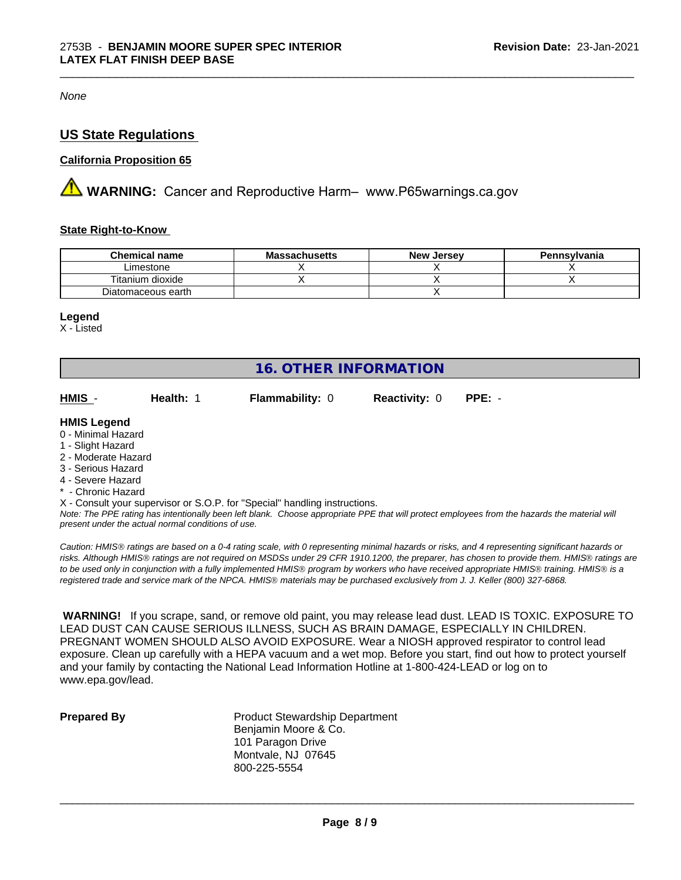*None*

# **US State Regulations**

#### **California Proposition 65**

**AN** WARNING: Cancer and Reproductive Harm– www.P65warnings.ca.gov

#### **State Right-to-Know**

| <b>Chemical name</b> | <b>Massachusetts</b> | <b>New Jersey</b> | Pennsylvania |
|----------------------|----------------------|-------------------|--------------|
| ∟imestone            |                      |                   |              |
| Titanium dioxide     |                      |                   |              |
| Diatomaceous earth   |                      |                   |              |

\_\_\_\_\_\_\_\_\_\_\_\_\_\_\_\_\_\_\_\_\_\_\_\_\_\_\_\_\_\_\_\_\_\_\_\_\_\_\_\_\_\_\_\_\_\_\_\_\_\_\_\_\_\_\_\_\_\_\_\_\_\_\_\_\_\_\_\_\_\_\_\_\_\_\_\_\_\_\_\_\_\_\_\_\_\_\_\_\_\_\_\_\_

#### **Legend**

X - Listed

| 16. OTHER INFORMATION                                                                                                           |                                                    |                                                                            |                      |                                                                                                                                               |
|---------------------------------------------------------------------------------------------------------------------------------|----------------------------------------------------|----------------------------------------------------------------------------|----------------------|-----------------------------------------------------------------------------------------------------------------------------------------------|
| HMIS -                                                                                                                          | Health: 1                                          | <b>Flammability: 0</b>                                                     | <b>Reactivity: 0</b> | $PPE: -$                                                                                                                                      |
| <b>HMIS Legend</b><br>0 - Minimal Hazard<br>1 - Slight Hazard<br>2 - Moderate Hazard<br>3 - Serious Hazard<br>4 - Severe Hazard |                                                    |                                                                            |                      |                                                                                                                                               |
| * - Chronic Hazard                                                                                                              |                                                    |                                                                            |                      |                                                                                                                                               |
|                                                                                                                                 | present under the actual normal conditions of use. | X - Consult your supervisor or S.O.P. for "Special" handling instructions. |                      | Note: The PPE rating has intentionally been left blank. Choose appropriate PPE that will protect employees from the hazards the material will |

*Caution: HMISÒ ratings are based on a 0-4 rating scale, with 0 representing minimal hazards or risks, and 4 representing significant hazards or risks. Although HMISÒ ratings are not required on MSDSs under 29 CFR 1910.1200, the preparer, has chosen to provide them. HMISÒ ratings are to be used only in conjunction with a fully implemented HMISÒ program by workers who have received appropriate HMISÒ training. HMISÒ is a registered trade and service mark of the NPCA. HMISÒ materials may be purchased exclusively from J. J. Keller (800) 327-6868.*

 **WARNING!** If you scrape, sand, or remove old paint, you may release lead dust. LEAD IS TOXIC. EXPOSURE TO LEAD DUST CAN CAUSE SERIOUS ILLNESS, SUCH AS BRAIN DAMAGE, ESPECIALLY IN CHILDREN. PREGNANT WOMEN SHOULD ALSO AVOID EXPOSURE. Wear a NIOSH approved respirator to control lead exposure. Clean up carefully with a HEPA vacuum and a wet mop. Before you start, find out how to protect yourself and your family by contacting the National Lead Information Hotline at 1-800-424-LEAD or log on to www.epa.gov/lead.

**Prepared By** Product Stewardship Department Benjamin Moore & Co. 101 Paragon Drive Montvale, NJ 07645 800-225-5554